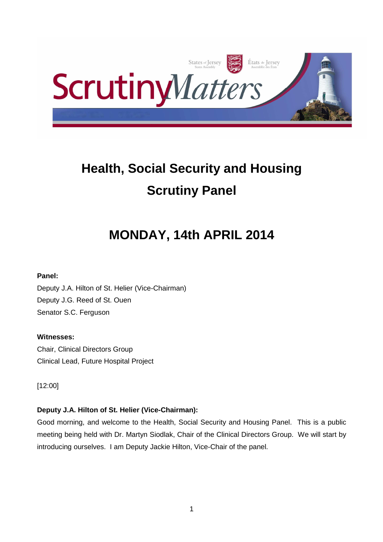

# **Health, Social Security and Housing Scrutiny Panel**

# **MONDAY, 14th APRIL 2014**

## **Panel:**

Deputy J.A. Hilton of St. Helier (Vice-Chairman) Deputy J.G. Reed of St. Ouen Senator S.C. Ferguson

## **Witnesses:**

Chair, Clinical Directors Group Clinical Lead, Future Hospital Project

[12:00]

## **Deputy J.A. Hilton of St. Helier (Vice-Chairman):**

Good morning, and welcome to the Health, Social Security and Housing Panel. This is a public meeting being held with Dr. Martyn Siodlak, Chair of the Clinical Directors Group. We will start by introducing ourselves. I am Deputy Jackie Hilton, Vice-Chair of the panel.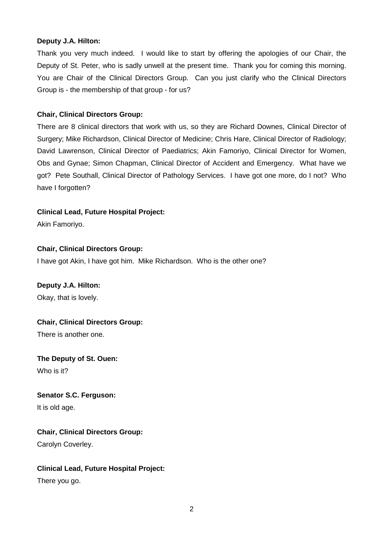#### **Deputy J.A. Hilton:**

Thank you very much indeed. I would like to start by offering the apologies of our Chair, the Deputy of St. Peter, who is sadly unwell at the present time. Thank you for coming this morning. You are Chair of the Clinical Directors Group. Can you just clarify who the Clinical Directors Group is - the membership of that group - for us?

#### **Chair, Clinical Directors Group:**

There are 8 clinical directors that work with us, so they are Richard Downes, Clinical Director of Surgery; Mike Richardson, Clinical Director of Medicine; Chris Hare, Clinical Director of Radiology; David Lawrenson, Clinical Director of Paediatrics; Akin Famoriyo, Clinical Director for Women, Obs and Gynae; Simon Chapman, Clinical Director of Accident and Emergency. What have we got? Pete Southall, Clinical Director of Pathology Services. I have got one more, do I not? Who have I forgotten?

#### **Clinical Lead, Future Hospital Project:**

Akin Famoriyo.

#### **Chair, Clinical Directors Group:**

I have got Akin, I have got him. Mike Richardson. Who is the other one?

#### **Deputy J.A. Hilton:**

Okay, that is lovely.

#### **Chair, Clinical Directors Group:**

There is another one.

## **The Deputy of St. Ouen:** Who is it?

# **Senator S.C. Ferguson:**

It is old age.

#### **Chair, Clinical Directors Group:**

Carolyn Coverley.

# **Clinical Lead, Future Hospital Project:**

There you go.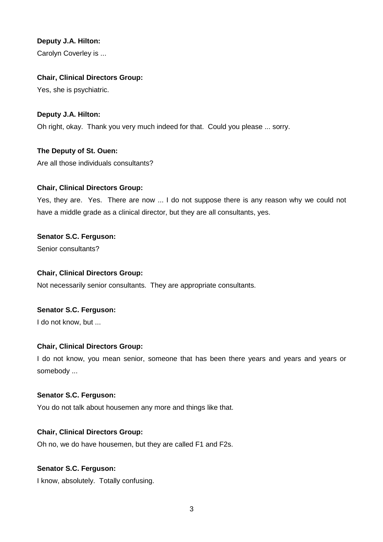## **Deputy J.A. Hilton:**

Carolyn Coverley is ...

## **Chair, Clinical Directors Group:**

Yes, she is psychiatric.

## **Deputy J.A. Hilton:**

Oh right, okay. Thank you very much indeed for that. Could you please ... sorry.

## **The Deputy of St. Ouen:** Are all those individuals consultants?

## **Chair, Clinical Directors Group:**

Yes, they are. Yes. There are now ... I do not suppose there is any reason why we could not have a middle grade as a clinical director, but they are all consultants, yes.

## **Senator S.C. Ferguson:**

Senior consultants?

#### **Chair, Clinical Directors Group:**

Not necessarily senior consultants. They are appropriate consultants.

# **Senator S.C. Ferguson:**

I do not know, but ...

#### **Chair, Clinical Directors Group:**

I do not know, you mean senior, someone that has been there years and years and years or somebody ...

#### **Senator S.C. Ferguson:**

You do not talk about housemen any more and things like that.

#### **Chair, Clinical Directors Group:**

Oh no, we do have housemen, but they are called F1 and F2s.

## **Senator S.C. Ferguson:**

I know, absolutely. Totally confusing.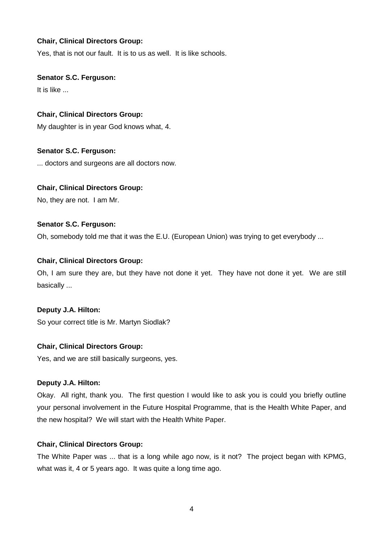Yes, that is not our fault. It is to us as well. It is like schools.

#### **Senator S.C. Ferguson:**

It is like ...

#### **Chair, Clinical Directors Group:**

My daughter is in year God knows what, 4.

#### **Senator S.C. Ferguson:**

... doctors and surgeons are all doctors now.

#### **Chair, Clinical Directors Group:**

No, they are not. I am Mr.

#### **Senator S.C. Ferguson:**

Oh, somebody told me that it was the E.U. (European Union) was trying to get everybody ...

## **Chair, Clinical Directors Group:**

Oh, I am sure they are, but they have not done it yet. They have not done it yet. We are still basically ...

#### **Deputy J.A. Hilton:**

So your correct title is Mr. Martyn Siodlak?

#### **Chair, Clinical Directors Group:**

Yes, and we are still basically surgeons, yes.

#### **Deputy J.A. Hilton:**

Okay. All right, thank you. The first question I would like to ask you is could you briefly outline your personal involvement in the Future Hospital Programme, that is the Health White Paper, and the new hospital? We will start with the Health White Paper.

#### **Chair, Clinical Directors Group:**

The White Paper was ... that is a long while ago now, is it not? The project began with KPMG, what was it, 4 or 5 years ago. It was quite a long time ago.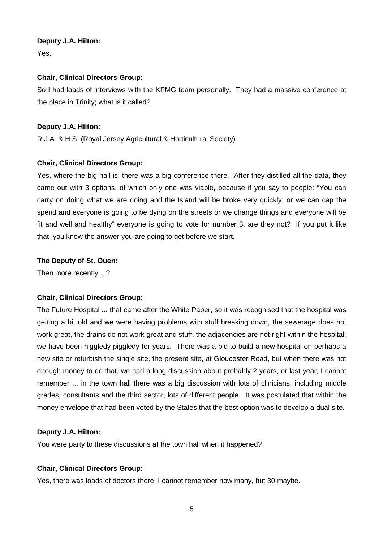#### **Deputy J.A. Hilton:**

Yes.

## **Chair, Clinical Directors Group:**

So I had loads of interviews with the KPMG team personally. They had a massive conference at the place in Trinity; what is it called?

## **Deputy J.A. Hilton:**

R.J.A. & H.S. (Royal Jersey Agricultural & Horticultural Society).

## **Chair, Clinical Directors Group:**

Yes, where the big hall is, there was a big conference there. After they distilled all the data, they came out with 3 options, of which only one was viable, because if you say to people: "You can carry on doing what we are doing and the Island will be broke very quickly, or we can cap the spend and everyone is going to be dying on the streets or we change things and everyone will be fit and well and healthy" everyone is going to vote for number 3, are they not? If you put it like that, you know the answer you are going to get before we start.

## **The Deputy of St. Ouen:**

Then more recently ...?

## **Chair, Clinical Directors Group:**

The Future Hospital ... that came after the White Paper, so it was recognised that the hospital was getting a bit old and we were having problems with stuff breaking down, the sewerage does not work great, the drains do not work great and stuff, the adjacencies are not right within the hospital; we have been higgledy-piggledy for years. There was a bid to build a new hospital on perhaps a new site or refurbish the single site, the present site, at Gloucester Road, but when there was not enough money to do that, we had a long discussion about probably 2 years, or last year, I cannot remember ... in the town hall there was a big discussion with lots of clinicians, including middle grades, consultants and the third sector, lots of different people. It was postulated that within the money envelope that had been voted by the States that the best option was to develop a dual site.

#### **Deputy J.A. Hilton:**

You were party to these discussions at the town hall when it happened?

## **Chair, Clinical Directors Group:**

Yes, there was loads of doctors there, I cannot remember how many, but 30 maybe.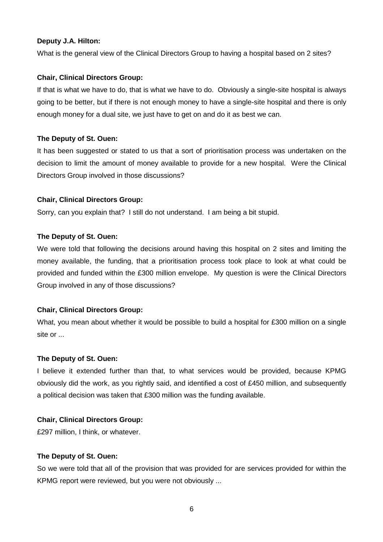#### **Deputy J.A. Hilton:**

What is the general view of the Clinical Directors Group to having a hospital based on 2 sites?

#### **Chair, Clinical Directors Group:**

If that is what we have to do, that is what we have to do. Obviously a single-site hospital is always going to be better, but if there is not enough money to have a single-site hospital and there is only enough money for a dual site, we just have to get on and do it as best we can.

#### **The Deputy of St. Ouen:**

It has been suggested or stated to us that a sort of prioritisation process was undertaken on the decision to limit the amount of money available to provide for a new hospital. Were the Clinical Directors Group involved in those discussions?

#### **Chair, Clinical Directors Group:**

Sorry, can you explain that? I still do not understand. I am being a bit stupid.

#### **The Deputy of St. Ouen:**

We were told that following the decisions around having this hospital on 2 sites and limiting the money available, the funding, that a prioritisation process took place to look at what could be provided and funded within the £300 million envelope. My question is were the Clinical Directors Group involved in any of those discussions?

#### **Chair, Clinical Directors Group:**

What, you mean about whether it would be possible to build a hospital for £300 million on a single site or ...

#### **The Deputy of St. Ouen:**

I believe it extended further than that, to what services would be provided, because KPMG obviously did the work, as you rightly said, and identified a cost of £450 million, and subsequently a political decision was taken that £300 million was the funding available.

#### **Chair, Clinical Directors Group:**

£297 million, I think, or whatever.

#### **The Deputy of St. Ouen:**

So we were told that all of the provision that was provided for are services provided for within the KPMG report were reviewed, but you were not obviously ...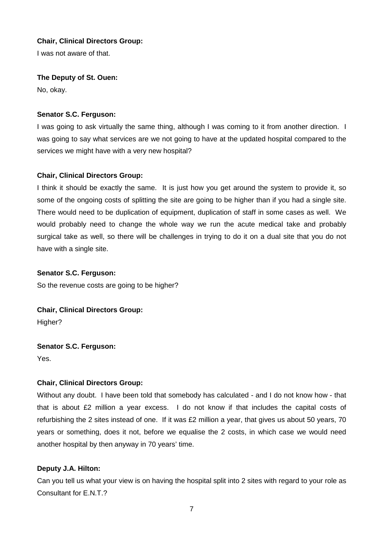I was not aware of that.

#### **The Deputy of St. Ouen:**

No, okay.

## **Senator S.C. Ferguson:**

I was going to ask virtually the same thing, although I was coming to it from another direction. I was going to say what services are we not going to have at the updated hospital compared to the services we might have with a very new hospital?

## **Chair, Clinical Directors Group:**

I think it should be exactly the same. It is just how you get around the system to provide it, so some of the ongoing costs of splitting the site are going to be higher than if you had a single site. There would need to be duplication of equipment, duplication of staff in some cases as well. We would probably need to change the whole way we run the acute medical take and probably surgical take as well, so there will be challenges in trying to do it on a dual site that you do not have with a single site.

## **Senator S.C. Ferguson:**

So the revenue costs are going to be higher?

## **Chair, Clinical Directors Group:**

Higher?

## **Senator S.C. Ferguson:**

Yes.

## **Chair, Clinical Directors Group:**

Without any doubt. I have been told that somebody has calculated - and I do not know how - that that is about £2 million a year excess. I do not know if that includes the capital costs of refurbishing the 2 sites instead of one. If it was £2 million a year, that gives us about 50 years, 70 years or something, does it not, before we equalise the 2 costs, in which case we would need another hospital by then anyway in 70 years' time.

## **Deputy J.A. Hilton:**

Can you tell us what your view is on having the hospital split into 2 sites with regard to your role as Consultant for E.N.T.?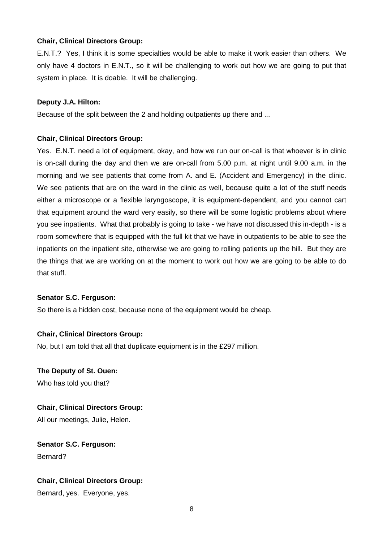E.N.T.? Yes, I think it is some specialties would be able to make it work easier than others. We only have 4 doctors in E.N.T., so it will be challenging to work out how we are going to put that system in place. It is doable. It will be challenging.

#### **Deputy J.A. Hilton:**

Because of the split between the 2 and holding outpatients up there and ...

#### **Chair, Clinical Directors Group:**

Yes. E.N.T. need a lot of equipment, okay, and how we run our on-call is that whoever is in clinic is on-call during the day and then we are on-call from 5.00 p.m. at night until 9.00 a.m. in the morning and we see patients that come from A. and E. (Accident and Emergency) in the clinic. We see patients that are on the ward in the clinic as well, because quite a lot of the stuff needs either a microscope or a flexible laryngoscope, it is equipment-dependent, and you cannot cart that equipment around the ward very easily, so there will be some logistic problems about where you see inpatients. What that probably is going to take - we have not discussed this in-depth - is a room somewhere that is equipped with the full kit that we have in outpatients to be able to see the inpatients on the inpatient site, otherwise we are going to rolling patients up the hill. But they are the things that we are working on at the moment to work out how we are going to be able to do that stuff.

#### **Senator S.C. Ferguson:**

So there is a hidden cost, because none of the equipment would be cheap.

#### **Chair, Clinical Directors Group:**

No, but I am told that all that duplicate equipment is in the £297 million.

## **The Deputy of St. Ouen:**

Who has told you that?

#### **Chair, Clinical Directors Group:**

All our meetings, Julie, Helen.

**Senator S.C. Ferguson:** Bernard?

#### **Chair, Clinical Directors Group:**

Bernard, yes. Everyone, yes.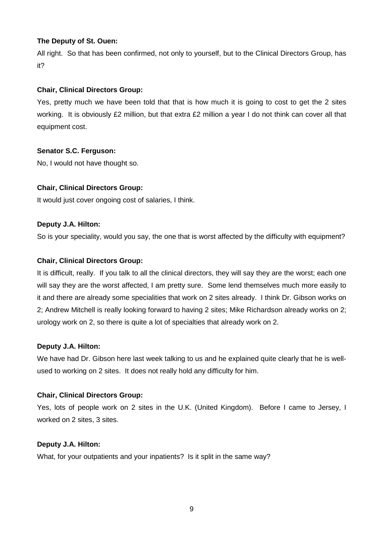## **The Deputy of St. Ouen:**

All right. So that has been confirmed, not only to yourself, but to the Clinical Directors Group, has it?

## **Chair, Clinical Directors Group:**

Yes, pretty much we have been told that that is how much it is going to cost to get the 2 sites working. It is obviously £2 million, but that extra £2 million a year I do not think can cover all that equipment cost.

## **Senator S.C. Ferguson:**

No, I would not have thought so.

## **Chair, Clinical Directors Group:**

It would just cover ongoing cost of salaries, I think.

## **Deputy J.A. Hilton:**

So is your speciality, would you say, the one that is worst affected by the difficulty with equipment?

## **Chair, Clinical Directors Group:**

It is difficult, really. If you talk to all the clinical directors, they will say they are the worst; each one will say they are the worst affected, I am pretty sure. Some lend themselves much more easily to it and there are already some specialities that work on 2 sites already. I think Dr. Gibson works on 2; Andrew Mitchell is really looking forward to having 2 sites; Mike Richardson already works on 2; urology work on 2, so there is quite a lot of specialties that already work on 2.

#### **Deputy J.A. Hilton:**

We have had Dr. Gibson here last week talking to us and he explained quite clearly that he is wellused to working on 2 sites. It does not really hold any difficulty for him.

#### **Chair, Clinical Directors Group:**

Yes, lots of people work on 2 sites in the U.K. (United Kingdom). Before I came to Jersey, I worked on 2 sites, 3 sites.

#### **Deputy J.A. Hilton:**

What, for your outpatients and your inpatients? Is it split in the same way?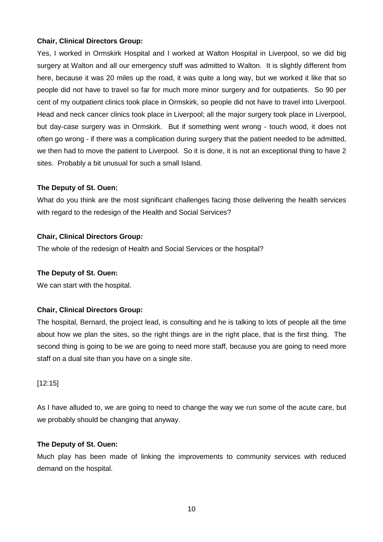Yes, I worked in Ormskirk Hospital and I worked at Walton Hospital in Liverpool, so we did big surgery at Walton and all our emergency stuff was admitted to Walton. It is slightly different from here, because it was 20 miles up the road, it was quite a long way, but we worked it like that so people did not have to travel so far for much more minor surgery and for outpatients. So 90 per cent of my outpatient clinics took place in Ormskirk, so people did not have to travel into Liverpool. Head and neck cancer clinics took place in Liverpool; all the major surgery took place in Liverpool, but day-case surgery was in Ormskirk. But if something went wrong - touch wood, it does not often go wrong - if there was a complication during surgery that the patient needed to be admitted, we then had to move the patient to Liverpool. So it is done, it is not an exceptional thing to have 2 sites. Probably a bit unusual for such a small Island.

## **The Deputy of St. Ouen:**

What do you think are the most significant challenges facing those delivering the health services with regard to the redesign of the Health and Social Services?

## **Chair, Clinical Directors Group:**

The whole of the redesign of Health and Social Services or the hospital?

#### **The Deputy of St. Ouen:**

We can start with the hospital.

## **Chair, Clinical Directors Group:**

The hospital, Bernard, the project lead, is consulting and he is talking to lots of people all the time about how we plan the sites, so the right things are in the right place, that is the first thing. The second thing is going to be we are going to need more staff, because you are going to need more staff on a dual site than you have on a single site.

#### [12:15]

As I have alluded to, we are going to need to change the way we run some of the acute care, but we probably should be changing that anyway.

#### **The Deputy of St. Ouen:**

Much play has been made of linking the improvements to community services with reduced demand on the hospital.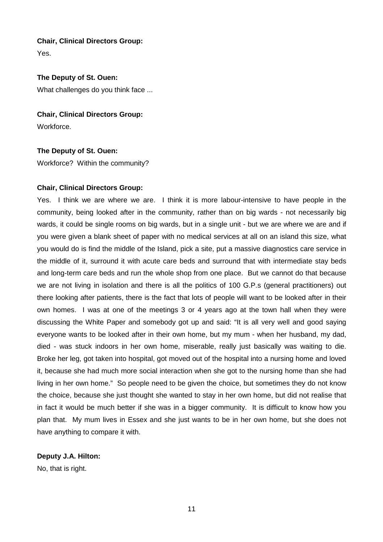Yes.

#### **The Deputy of St. Ouen:**

What challenges do you think face ...

#### **Chair, Clinical Directors Group:**

Workforce.

## **The Deputy of St. Ouen:**

Workforce? Within the community?

#### **Chair, Clinical Directors Group:**

Yes. I think we are where we are. I think it is more labour-intensive to have people in the community, being looked after in the community, rather than on big wards - not necessarily big wards, it could be single rooms on big wards, but in a single unit - but we are where we are and if you were given a blank sheet of paper with no medical services at all on an island this size, what you would do is find the middle of the Island, pick a site, put a massive diagnostics care service in the middle of it, surround it with acute care beds and surround that with intermediate stay beds and long-term care beds and run the whole shop from one place. But we cannot do that because we are not living in isolation and there is all the politics of 100 G.P.s (general practitioners) out there looking after patients, there is the fact that lots of people will want to be looked after in their own homes. I was at one of the meetings 3 or 4 years ago at the town hall when they were discussing the White Paper and somebody got up and said: "It is all very well and good saying everyone wants to be looked after in their own home, but my mum - when her husband, my dad, died - was stuck indoors in her own home, miserable, really just basically was waiting to die. Broke her leg, got taken into hospital, got moved out of the hospital into a nursing home and loved it, because she had much more social interaction when she got to the nursing home than she had living in her own home." So people need to be given the choice, but sometimes they do not know the choice, because she just thought she wanted to stay in her own home, but did not realise that in fact it would be much better if she was in a bigger community. It is difficult to know how you plan that. My mum lives in Essex and she just wants to be in her own home, but she does not have anything to compare it with.

#### **Deputy J.A. Hilton:**

No, that is right.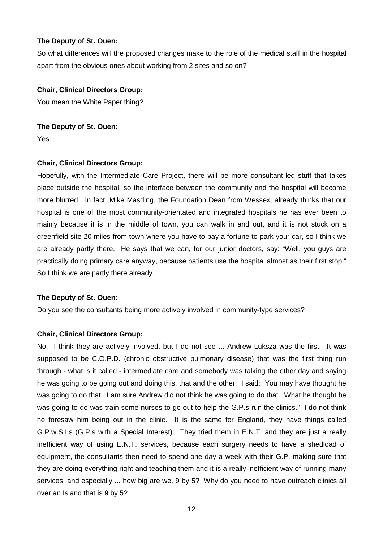#### **The Deputy of St. Ouen:**

So what differences will the proposed changes make to the role of the medical staff in the hospital apart from the obvious ones about working from 2 sites and so on?

#### **Chair, Clinical Directors Group:**

You mean the White Paper thing?

**The Deputy of St. Ouen:** Yes.

#### **Chair, Clinical Directors Group:**

Hopefully, with the Intermediate Care Project, there will be more consultant-led stuff that takes place outside the hospital, so the interface between the community and the hospital will become more blurred. In fact, Mike Masding, the Foundation Dean from Wessex, already thinks that our hospital is one of the most community-orientated and integrated hospitals he has ever been to mainly because it is in the middle of town, you can walk in and out, and it is not stuck on a greenfield site 20 miles from town where you have to pay a fortune to park your car, so I think we are already partly there. He says that we can, for our junior doctors, say: "Well, you guys are practically doing primary care anyway, because patients use the hospital almost as their first stop." So I think we are partly there already.

#### **The Deputy of St. Ouen:**

Do you see the consultants being more actively involved in community-type services?

#### **Chair, Clinical Directors Group:**

No. I think they are actively involved, but I do not see ... Andrew Luksza was the first. It was supposed to be C.O.P.D. (chronic obstructive pulmonary disease) that was the first thing run through - what is it called - intermediate care and somebody was talking the other day and saying he was going to be going out and doing this, that and the other. I said: "You may have thought he was going to do that. I am sure Andrew did not think he was going to do that. What he thought he was going to do was train some nurses to go out to help the G.P.s run the clinics." I do not think he foresaw him being out in the clinic. It is the same for England, they have things called G.P.w.S.I.s (G.P.s with a Special Interest). They tried them in E.N.T. and they are just a really inefficient way of using E.N.T. services, because each surgery needs to have a shedload of equipment, the consultants then need to spend one day a week with their G.P. making sure that they are doing everything right and teaching them and it is a really inefficient way of running many services, and especially ... how big are we, 9 by 5? Why do you need to have outreach clinics all over an Island that is 9 by 5?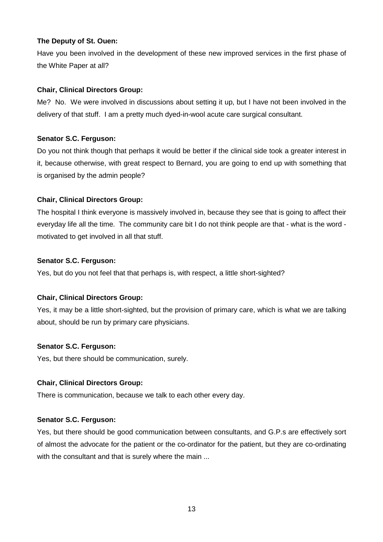## **The Deputy of St. Ouen:**

Have you been involved in the development of these new improved services in the first phase of the White Paper at all?

## **Chair, Clinical Directors Group:**

Me? No. We were involved in discussions about setting it up, but I have not been involved in the delivery of that stuff. I am a pretty much dyed-in-wool acute care surgical consultant.

## **Senator S.C. Ferguson:**

Do you not think though that perhaps it would be better if the clinical side took a greater interest in it, because otherwise, with great respect to Bernard, you are going to end up with something that is organised by the admin people?

## **Chair, Clinical Directors Group:**

The hospital I think everyone is massively involved in, because they see that is going to affect their everyday life all the time. The community care bit I do not think people are that - what is the word motivated to get involved in all that stuff.

## **Senator S.C. Ferguson:**

Yes, but do you not feel that that perhaps is, with respect, a little short-sighted?

## **Chair, Clinical Directors Group:**

Yes, it may be a little short-sighted, but the provision of primary care, which is what we are talking about, should be run by primary care physicians.

## **Senator S.C. Ferguson:**

Yes, but there should be communication, surely.

#### **Chair, Clinical Directors Group:**

There is communication, because we talk to each other every day.

#### **Senator S.C. Ferguson:**

Yes, but there should be good communication between consultants, and G.P.s are effectively sort of almost the advocate for the patient or the co-ordinator for the patient, but they are co-ordinating with the consultant and that is surely where the main ...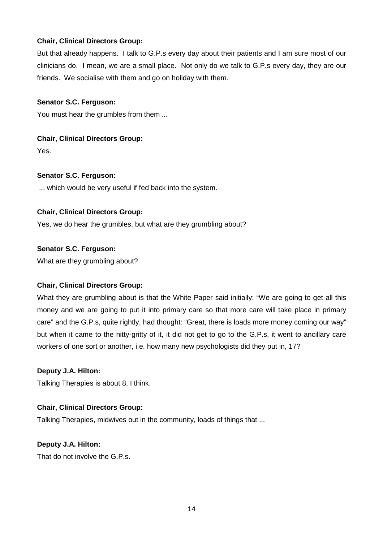But that already happens. I talk to G.P.s every day about their patients and I am sure most of our clinicians do. I mean, we are a small place. Not only do we talk to G.P.s every day, they are our friends. We socialise with them and go on holiday with them.

#### **Senator S.C. Ferguson:**

You must hear the grumbles from them ...

## **Chair, Clinical Directors Group:**

Yes.

## **Senator S.C. Ferguson:**

... which would be very useful if fed back into the system.

## **Chair, Clinical Directors Group:**

Yes, we do hear the grumbles, but what are they grumbling about?

## **Senator S.C. Ferguson:**

What are they grumbling about?

## **Chair, Clinical Directors Group:**

What they are grumbling about is that the White Paper said initially: "We are going to get all this money and we are going to put it into primary care so that more care will take place in primary care" and the G.P.s, quite rightly, had thought: "Great, there is loads more money coming our way" but when it came to the nitty-gritty of it, it did not get to go to the G.P.s, it went to ancillary care workers of one sort or another, i.e. how many new psychologists did they put in, 17?

## **Deputy J.A. Hilton:**

Talking Therapies is about 8, I think.

#### **Chair, Clinical Directors Group:**

Talking Therapies, midwives out in the community, loads of things that ...

#### **Deputy J.A. Hilton:**

That do not involve the G.P.s.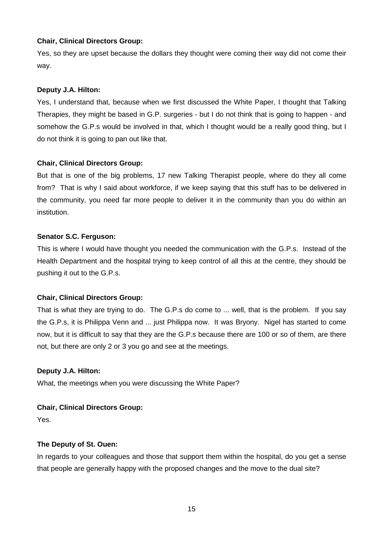Yes, so they are upset because the dollars they thought were coming their way did not come their way.

## **Deputy J.A. Hilton:**

Yes, I understand that, because when we first discussed the White Paper, I thought that Talking Therapies, they might be based in G.P. surgeries - but I do not think that is going to happen - and somehow the G.P.s would be involved in that, which I thought would be a really good thing, but I do not think it is going to pan out like that.

## **Chair, Clinical Directors Group:**

But that is one of the big problems, 17 new Talking Therapist people, where do they all come from? That is why I said about workforce, if we keep saying that this stuff has to be delivered in the community, you need far more people to deliver it in the community than you do within an institution.

## **Senator S.C. Ferguson:**

This is where I would have thought you needed the communication with the G.P.s. Instead of the Health Department and the hospital trying to keep control of all this at the centre, they should be pushing it out to the G.P.s.

## **Chair, Clinical Directors Group:**

That is what they are trying to do. The G.P.s do come to ... well, that is the problem. If you say the G.P.s, it is Philippa Venn and ... just Philippa now. It was Bryony. Nigel has started to come now, but it is difficult to say that they are the G.P.s because there are 100 or so of them, are there not, but there are only 2 or 3 you go and see at the meetings.

## **Deputy J.A. Hilton:**

What, the meetings when you were discussing the White Paper?

## **Chair, Clinical Directors Group:**

Yes.

## **The Deputy of St. Ouen:**

In regards to your colleagues and those that support them within the hospital, do you get a sense that people are generally happy with the proposed changes and the move to the dual site?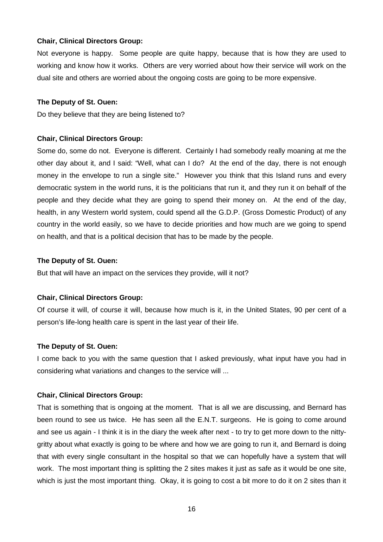Not everyone is happy. Some people are quite happy, because that is how they are used to working and know how it works. Others are very worried about how their service will work on the dual site and others are worried about the ongoing costs are going to be more expensive.

#### **The Deputy of St. Ouen:**

Do they believe that they are being listened to?

## **Chair, Clinical Directors Group:**

Some do, some do not. Everyone is different. Certainly I had somebody really moaning at me the other day about it, and I said: "Well, what can I do? At the end of the day, there is not enough money in the envelope to run a single site." However you think that this Island runs and every democratic system in the world runs, it is the politicians that run it, and they run it on behalf of the people and they decide what they are going to spend their money on. At the end of the day, health, in any Western world system, could spend all the G.D.P. (Gross Domestic Product) of any country in the world easily, so we have to decide priorities and how much are we going to spend on health, and that is a political decision that has to be made by the people.

#### **The Deputy of St. Ouen:**

But that will have an impact on the services they provide, will it not?

#### **Chair, Clinical Directors Group:**

Of course it will, of course it will, because how much is it, in the United States, 90 per cent of a person's life-long health care is spent in the last year of their life.

#### **The Deputy of St. Ouen:**

I come back to you with the same question that I asked previously, what input have you had in considering what variations and changes to the service will ...

## **Chair, Clinical Directors Group:**

That is something that is ongoing at the moment. That is all we are discussing, and Bernard has been round to see us twice. He has seen all the E.N.T. surgeons. He is going to come around and see us again - I think it is in the diary the week after next - to try to get more down to the nittygritty about what exactly is going to be where and how we are going to run it, and Bernard is doing that with every single consultant in the hospital so that we can hopefully have a system that will work. The most important thing is splitting the 2 sites makes it just as safe as it would be one site, which is just the most important thing. Okay, it is going to cost a bit more to do it on 2 sites than it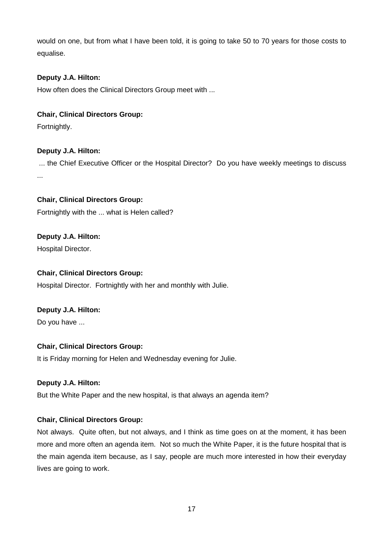would on one, but from what I have been told, it is going to take 50 to 70 years for those costs to equalise.

## **Deputy J.A. Hilton:**

How often does the Clinical Directors Group meet with ...

## **Chair, Clinical Directors Group:**

Fortnightly.

## **Deputy J.A. Hilton:**

 ... the Chief Executive Officer or the Hospital Director? Do you have weekly meetings to discuss ...

**Chair, Clinical Directors Group:**

Fortnightly with the ... what is Helen called?

# **Deputy J.A. Hilton:**

Hospital Director.

## **Chair, Clinical Directors Group:**

Hospital Director. Fortnightly with her and monthly with Julie.

## **Deputy J.A. Hilton:**

Do you have ...

## **Chair, Clinical Directors Group:**

It is Friday morning for Helen and Wednesday evening for Julie.

#### **Deputy J.A. Hilton:**

But the White Paper and the new hospital, is that always an agenda item?

## **Chair, Clinical Directors Group:**

Not always. Quite often, but not always, and I think as time goes on at the moment, it has been more and more often an agenda item. Not so much the White Paper, it is the future hospital that is the main agenda item because, as I say, people are much more interested in how their everyday lives are going to work.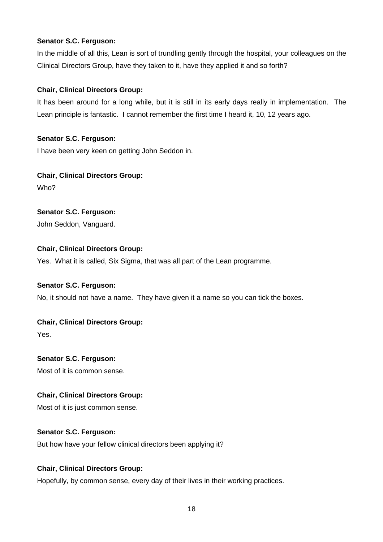## **Senator S.C. Ferguson:**

In the middle of all this, Lean is sort of trundling gently through the hospital, your colleagues on the Clinical Directors Group, have they taken to it, have they applied it and so forth?

## **Chair, Clinical Directors Group:**

It has been around for a long while, but it is still in its early days really in implementation. The Lean principle is fantastic. I cannot remember the first time I heard it, 10, 12 years ago.

## **Senator S.C. Ferguson:**

I have been very keen on getting John Seddon in.

## **Chair, Clinical Directors Group:**

Who?

## **Senator S.C. Ferguson:**

John Seddon, Vanguard.

## **Chair, Clinical Directors Group:**

Yes. What it is called, Six Sigma, that was all part of the Lean programme.

#### **Senator S.C. Ferguson:**

No, it should not have a name. They have given it a name so you can tick the boxes.

## **Chair, Clinical Directors Group:**

Yes.

## **Senator S.C. Ferguson:**

Most of it is common sense.

## **Chair, Clinical Directors Group:**

Most of it is just common sense.

## **Senator S.C. Ferguson:**

But how have your fellow clinical directors been applying it?

## **Chair, Clinical Directors Group:**

Hopefully, by common sense, every day of their lives in their working practices.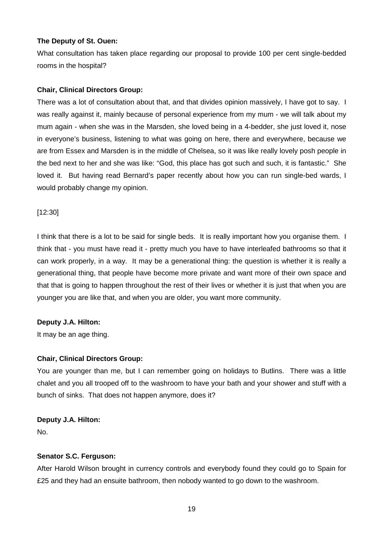#### **The Deputy of St. Ouen:**

What consultation has taken place regarding our proposal to provide 100 per cent single-bedded rooms in the hospital?

## **Chair, Clinical Directors Group:**

There was a lot of consultation about that, and that divides opinion massively, I have got to say. I was really against it, mainly because of personal experience from my mum - we will talk about my mum again - when she was in the Marsden, she loved being in a 4-bedder, she just loved it, nose in everyone's business, listening to what was going on here, there and everywhere, because we are from Essex and Marsden is in the middle of Chelsea, so it was like really lovely posh people in the bed next to her and she was like: "God, this place has got such and such, it is fantastic." She loved it. But having read Bernard's paper recently about how you can run single-bed wards, I would probably change my opinion.

#### [12:30]

I think that there is a lot to be said for single beds. It is really important how you organise them. I think that - you must have read it - pretty much you have to have interleafed bathrooms so that it can work properly, in a way. It may be a generational thing: the question is whether it is really a generational thing, that people have become more private and want more of their own space and that that is going to happen throughout the rest of their lives or whether it is just that when you are younger you are like that, and when you are older, you want more community.

## **Deputy J.A. Hilton:**

It may be an age thing.

## **Chair, Clinical Directors Group:**

You are younger than me, but I can remember going on holidays to Butlins. There was a little chalet and you all trooped off to the washroom to have your bath and your shower and stuff with a bunch of sinks. That does not happen anymore, does it?

#### **Deputy J.A. Hilton:**

No.

## **Senator S.C. Ferguson:**

After Harold Wilson brought in currency controls and everybody found they could go to Spain for £25 and they had an ensuite bathroom, then nobody wanted to go down to the washroom.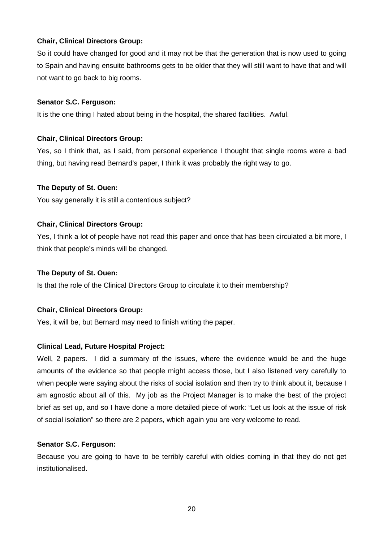So it could have changed for good and it may not be that the generation that is now used to going to Spain and having ensuite bathrooms gets to be older that they will still want to have that and will not want to go back to big rooms.

#### **Senator S.C. Ferguson:**

It is the one thing I hated about being in the hospital, the shared facilities. Awful.

## **Chair, Clinical Directors Group:**

Yes, so I think that, as I said, from personal experience I thought that single rooms were a bad thing, but having read Bernard's paper, I think it was probably the right way to go.

## **The Deputy of St. Ouen:**

You say generally it is still a contentious subject?

## **Chair, Clinical Directors Group:**

Yes, I think a lot of people have not read this paper and once that has been circulated a bit more, I think that people's minds will be changed.

#### **The Deputy of St. Ouen:**

Is that the role of the Clinical Directors Group to circulate it to their membership?

## **Chair, Clinical Directors Group:**

Yes, it will be, but Bernard may need to finish writing the paper.

## **Clinical Lead, Future Hospital Project:**

Well, 2 papers. I did a summary of the issues, where the evidence would be and the huge amounts of the evidence so that people might access those, but I also listened very carefully to when people were saying about the risks of social isolation and then try to think about it, because I am agnostic about all of this. My job as the Project Manager is to make the best of the project brief as set up, and so I have done a more detailed piece of work: "Let us look at the issue of risk of social isolation" so there are 2 papers, which again you are very welcome to read.

#### **Senator S.C. Ferguson:**

Because you are going to have to be terribly careful with oldies coming in that they do not get institutionalised.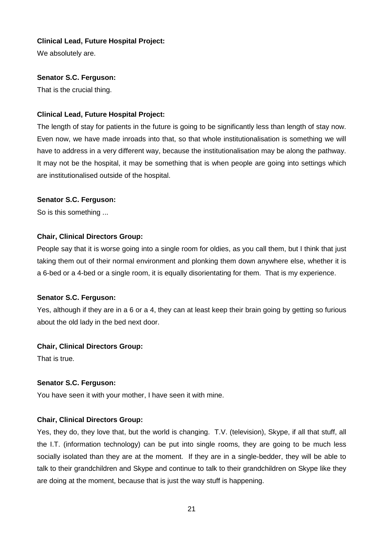## **Clinical Lead, Future Hospital Project:**

We absolutely are.

## **Senator S.C. Ferguson:**

That is the crucial thing.

## **Clinical Lead, Future Hospital Project:**

The length of stay for patients in the future is going to be significantly less than length of stay now. Even now, we have made inroads into that, so that whole institutionalisation is something we will have to address in a very different way, because the institutionalisation may be along the pathway. It may not be the hospital, it may be something that is when people are going into settings which are institutionalised outside of the hospital.

## **Senator S.C. Ferguson:**

So is this something ...

## **Chair, Clinical Directors Group:**

People say that it is worse going into a single room for oldies, as you call them, but I think that just taking them out of their normal environment and plonking them down anywhere else, whether it is a 6-bed or a 4-bed or a single room, it is equally disorientating for them. That is my experience.

#### **Senator S.C. Ferguson:**

Yes, although if they are in a 6 or a 4, they can at least keep their brain going by getting so furious about the old lady in the bed next door.

## **Chair, Clinical Directors Group:**

That is true.

## **Senator S.C. Ferguson:**

You have seen it with your mother, I have seen it with mine.

## **Chair, Clinical Directors Group:**

Yes, they do, they love that, but the world is changing. T.V. (television), Skype, if all that stuff, all the I.T. (information technology) can be put into single rooms, they are going to be much less socially isolated than they are at the moment. If they are in a single-bedder, they will be able to talk to their grandchildren and Skype and continue to talk to their grandchildren on Skype like they are doing at the moment, because that is just the way stuff is happening.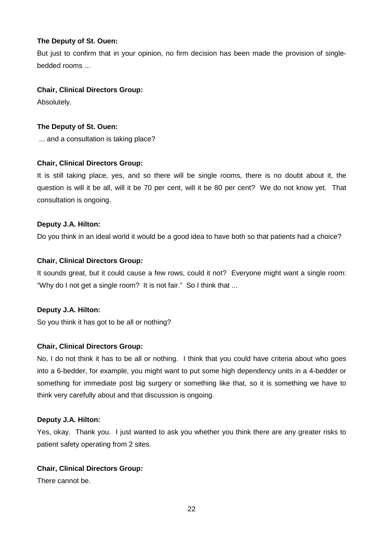## **The Deputy of St. Ouen:**

But just to confirm that in your opinion, no firm decision has been made the provision of singlebedded rooms ...

## **Chair, Clinical Directors Group:**

Absolutely.

## **The Deputy of St. Ouen:**

... and a consultation is taking place?

## **Chair, Clinical Directors Group:**

It is still taking place, yes, and so there will be single rooms, there is no doubt about it, the question is will it be all, will it be 70 per cent, will it be 80 per cent? We do not know yet. That consultation is ongoing.

## **Deputy J.A. Hilton:**

Do you think in an ideal world it would be a good idea to have both so that patients had a choice?

## **Chair, Clinical Directors Group:**

It sounds great, but it could cause a few rows, could it not? Everyone might want a single room: "Why do I not get a single room? It is not fair." So I think that ...

#### **Deputy J.A. Hilton:**

So you think it has got to be all or nothing?

#### **Chair, Clinical Directors Group:**

No, I do not think it has to be all or nothing. I think that you could have criteria about who goes into a 6-bedder, for example, you might want to put some high dependency units in a 4-bedder or something for immediate post big surgery or something like that, so it is something we have to think very carefully about and that discussion is ongoing.

#### **Deputy J.A. Hilton:**

Yes, okay. Thank you. I just wanted to ask you whether you think there are any greater risks to patient safety operating from 2 sites.

#### **Chair, Clinical Directors Group:**

There cannot be.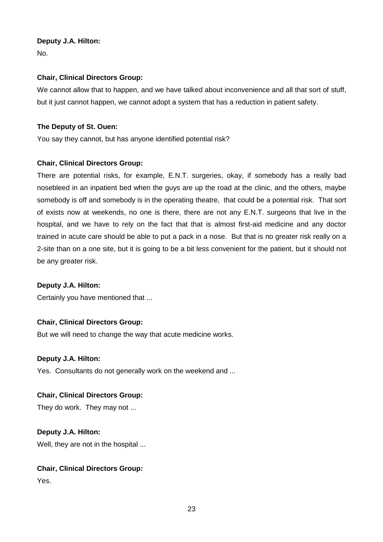## **Deputy J.A. Hilton:**

No.

## **Chair, Clinical Directors Group:**

We cannot allow that to happen, and we have talked about inconvenience and all that sort of stuff, but it just cannot happen, we cannot adopt a system that has a reduction in patient safety.

## **The Deputy of St. Ouen:**

You say they cannot, but has anyone identified potential risk?

## **Chair, Clinical Directors Group:**

There are potential risks, for example, E.N.T. surgeries, okay, if somebody has a really bad nosebleed in an inpatient bed when the guys are up the road at the clinic, and the others, maybe somebody is off and somebody is in the operating theatre, that could be a potential risk. That sort of exists now at weekends, no one is there, there are not any E.N.T. surgeons that live in the hospital, and we have to rely on the fact that that is almost first-aid medicine and any doctor trained in acute care should be able to put a pack in a nose. But that is no greater risk really on a 2-site than on a one site, but it is going to be a bit less convenient for the patient, but it should not be any greater risk.

## **Deputy J.A. Hilton:**

Certainly you have mentioned that ...

## **Chair, Clinical Directors Group:**

But we will need to change the way that acute medicine works.

#### **Deputy J.A. Hilton:**

Yes. Consultants do not generally work on the weekend and ...

#### **Chair, Clinical Directors Group:**

They do work. They may not ...

## **Deputy J.A. Hilton:**

Well, they are not in the hospital ...

## **Chair, Clinical Directors Group:**

Yes.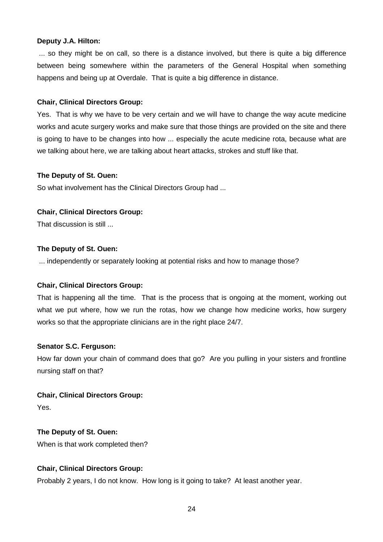#### **Deputy J.A. Hilton:**

 ... so they might be on call, so there is a distance involved, but there is quite a big difference between being somewhere within the parameters of the General Hospital when something happens and being up at Overdale. That is quite a big difference in distance.

#### **Chair, Clinical Directors Group:**

Yes. That is why we have to be very certain and we will have to change the way acute medicine works and acute surgery works and make sure that those things are provided on the site and there is going to have to be changes into how ... especially the acute medicine rota, because what are we talking about here, we are talking about heart attacks, strokes and stuff like that.

#### **The Deputy of St. Ouen:**

So what involvement has the Clinical Directors Group had ...

#### **Chair, Clinical Directors Group:**

That discussion is still ...

#### **The Deputy of St. Ouen:**

... independently or separately looking at potential risks and how to manage those?

#### **Chair, Clinical Directors Group:**

That is happening all the time. That is the process that is ongoing at the moment, working out what we put where, how we run the rotas, how we change how medicine works, how surgery works so that the appropriate clinicians are in the right place 24/7.

#### **Senator S.C. Ferguson:**

How far down your chain of command does that go? Are you pulling in your sisters and frontline nursing staff on that?

#### **Chair, Clinical Directors Group:**

Yes.

#### **The Deputy of St. Ouen:**

When is that work completed then?

#### **Chair, Clinical Directors Group:**

Probably 2 years, I do not know. How long is it going to take? At least another year.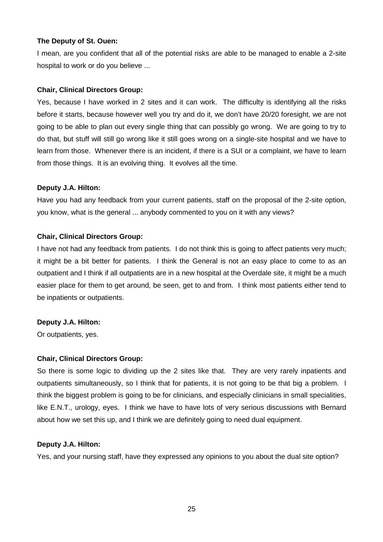#### **The Deputy of St. Ouen:**

I mean, are you confident that all of the potential risks are able to be managed to enable a 2-site hospital to work or do you believe ...

## **Chair, Clinical Directors Group:**

Yes, because I have worked in 2 sites and it can work. The difficulty is identifying all the risks before it starts, because however well you try and do it, we don't have 20/20 foresight, we are not going to be able to plan out every single thing that can possibly go wrong. We are going to try to do that, but stuff will still go wrong like it still goes wrong on a single-site hospital and we have to learn from those. Whenever there is an incident, if there is a SUI or a complaint, we have to learn from those things. It is an evolving thing. It evolves all the time.

## **Deputy J.A. Hilton:**

Have you had any feedback from your current patients, staff on the proposal of the 2-site option, you know, what is the general ... anybody commented to you on it with any views?

## **Chair, Clinical Directors Group:**

I have not had any feedback from patients. I do not think this is going to affect patients very much; it might be a bit better for patients. I think the General is not an easy place to come to as an outpatient and I think if all outpatients are in a new hospital at the Overdale site, it might be a much easier place for them to get around, be seen, get to and from. I think most patients either tend to be inpatients or outpatients.

## **Deputy J.A. Hilton:**

Or outpatients, yes.

#### **Chair, Clinical Directors Group:**

So there is some logic to dividing up the 2 sites like that. They are very rarely inpatients and outpatients simultaneously, so I think that for patients, it is not going to be that big a problem. I think the biggest problem is going to be for clinicians, and especially clinicians in small specialities, like E.N.T., urology, eyes. I think we have to have lots of very serious discussions with Bernard about how we set this up, and I think we are definitely going to need dual equipment.

#### **Deputy J.A. Hilton:**

Yes, and your nursing staff, have they expressed any opinions to you about the dual site option?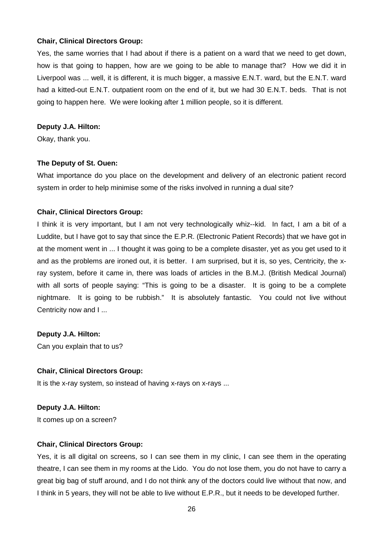Yes, the same worries that I had about if there is a patient on a ward that we need to get down, how is that going to happen, how are we going to be able to manage that? How we did it in Liverpool was ... well, it is different, it is much bigger, a massive E.N.T. ward, but the E.N.T. ward had a kitted-out E.N.T. outpatient room on the end of it, but we had 30 E.N.T. beds. That is not going to happen here. We were looking after 1 million people, so it is different.

#### **Deputy J.A. Hilton:**

Okay, thank you.

#### **The Deputy of St. Ouen:**

What importance do you place on the development and delivery of an electronic patient record system in order to help minimise some of the risks involved in running a dual site?

#### **Chair, Clinical Directors Group:**

I think it is very important, but I am not very technologically whiz--kid. In fact, I am a bit of a Luddite, but I have got to say that since the E.P.R. (Electronic Patient Records) that we have got in at the moment went in ... I thought it was going to be a complete disaster, yet as you get used to it and as the problems are ironed out, it is better. I am surprised, but it is, so yes, Centricity, the xray system, before it came in, there was loads of articles in the B.M.J. (British Medical Journal) with all sorts of people saying: "This is going to be a disaster. It is going to be a complete nightmare. It is going to be rubbish." It is absolutely fantastic. You could not live without Centricity now and I ...

#### **Deputy J.A. Hilton:**

Can you explain that to us?

#### **Chair, Clinical Directors Group:**

It is the x-ray system, so instead of having x-rays on x-rays ...

#### **Deputy J.A. Hilton:**

It comes up on a screen?

#### **Chair, Clinical Directors Group:**

Yes, it is all digital on screens, so I can see them in my clinic, I can see them in the operating theatre, I can see them in my rooms at the Lido. You do not lose them, you do not have to carry a great big bag of stuff around, and I do not think any of the doctors could live without that now, and I think in 5 years, they will not be able to live without E.P.R., but it needs to be developed further.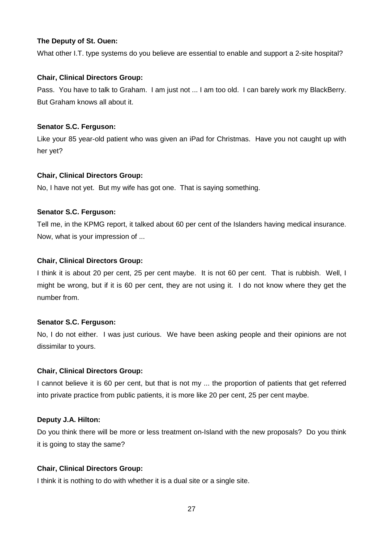#### **The Deputy of St. Ouen:**

What other I.T. type systems do you believe are essential to enable and support a 2-site hospital?

## **Chair, Clinical Directors Group:**

Pass. You have to talk to Graham. I am just not ... I am too old. I can barely work my BlackBerry. But Graham knows all about it.

## **Senator S.C. Ferguson:**

Like your 85 year-old patient who was given an iPad for Christmas. Have you not caught up with her yet?

## **Chair, Clinical Directors Group:**

No, I have not yet. But my wife has got one. That is saying something.

## **Senator S.C. Ferguson:**

Tell me, in the KPMG report, it talked about 60 per cent of the Islanders having medical insurance. Now, what is your impression of ...

## **Chair, Clinical Directors Group:**

I think it is about 20 per cent, 25 per cent maybe. It is not 60 per cent. That is rubbish. Well, I might be wrong, but if it is 60 per cent, they are not using it. I do not know where they get the number from.

#### **Senator S.C. Ferguson:**

No, I do not either. I was just curious. We have been asking people and their opinions are not dissimilar to yours.

#### **Chair, Clinical Directors Group:**

I cannot believe it is 60 per cent, but that is not my ... the proportion of patients that get referred into private practice from public patients, it is more like 20 per cent, 25 per cent maybe.

## **Deputy J.A. Hilton:**

Do you think there will be more or less treatment on-Island with the new proposals? Do you think it is going to stay the same?

## **Chair, Clinical Directors Group:**

I think it is nothing to do with whether it is a dual site or a single site.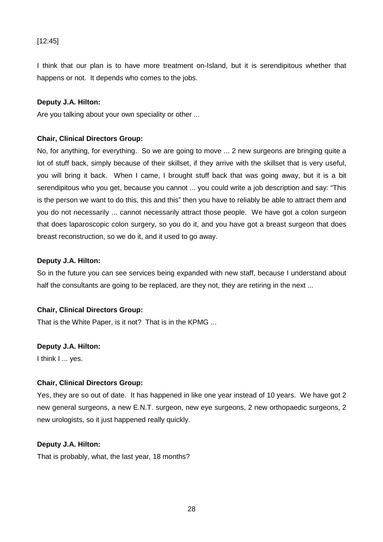## [12:45]

I think that our plan is to have more treatment on-Island, but it is serendipitous whether that happens or not. It depends who comes to the jobs.

#### **Deputy J.A. Hilton:**

Are you talking about your own speciality or other ...

#### **Chair, Clinical Directors Group:**

No, for anything, for everything. So we are going to move ... 2 new surgeons are bringing quite a lot of stuff back, simply because of their skillset, if they arrive with the skillset that is very useful, you will bring it back. When I came, I brought stuff back that was going away, but it is a bit serendipitous who you get, because you cannot ... you could write a job description and say: "This is the person we want to do this, this and this" then you have to reliably be able to attract them and you do not necessarily ... cannot necessarily attract those people. We have got a colon surgeon that does laparoscopic colon surgery, so you do it, and you have got a breast surgeon that does breast reconstruction, so we do it, and it used to go away.

#### **Deputy J.A. Hilton:**

So in the future you can see services being expanded with new staff, because I understand about half the consultants are going to be replaced, are they not, they are retiring in the next ...

#### **Chair, Clinical Directors Group:**

That is the White Paper, is it not? That is in the KPMG ...

#### **Deputy J.A. Hilton:**

I think I ... yes.

#### **Chair, Clinical Directors Group:**

Yes, they are so out of date. It has happened in like one year instead of 10 years. We have got 2 new general surgeons, a new E.N.T. surgeon, new eye surgeons, 2 new orthopaedic surgeons, 2 new urologists, so it just happened really quickly.

#### **Deputy J.A. Hilton:**

That is probably, what, the last year, 18 months?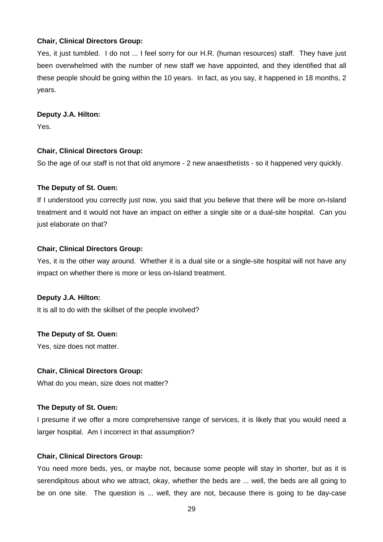Yes, it just tumbled. I do not ... I feel sorry for our H.R. (human resources) staff. They have just been overwhelmed with the number of new staff we have appointed, and they identified that all these people should be going within the 10 years. In fact, as you say, it happened in 18 months, 2 years.

#### **Deputy J.A. Hilton:**

Yes.

#### **Chair, Clinical Directors Group:**

So the age of our staff is not that old anymore - 2 new anaesthetists - so it happened very quickly.

#### **The Deputy of St. Ouen:**

If I understood you correctly just now, you said that you believe that there will be more on-Island treatment and it would not have an impact on either a single site or a dual-site hospital. Can you just elaborate on that?

#### **Chair, Clinical Directors Group:**

Yes, it is the other way around. Whether it is a dual site or a single-site hospital will not have any impact on whether there is more or less on-Island treatment.

#### **Deputy J.A. Hilton:**

It is all to do with the skillset of the people involved?

#### **The Deputy of St. Ouen:**

Yes, size does not matter.

#### **Chair, Clinical Directors Group:**

What do you mean, size does not matter?

#### **The Deputy of St. Ouen:**

I presume if we offer a more comprehensive range of services, it is likely that you would need a larger hospital. Am I incorrect in that assumption?

#### **Chair, Clinical Directors Group:**

You need more beds, yes, or maybe not, because some people will stay in shorter, but as it is serendipitous about who we attract, okay, whether the beds are ... well, the beds are all going to be on one site. The question is ... well, they are not, because there is going to be day-case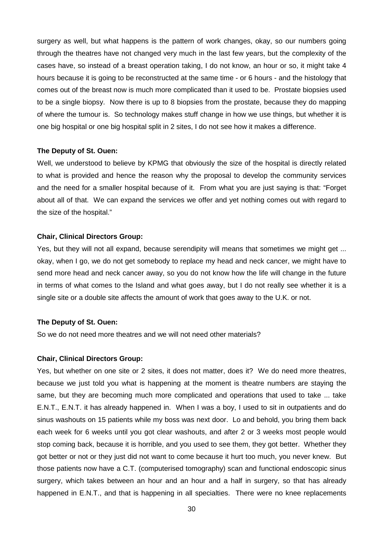surgery as well, but what happens is the pattern of work changes, okay, so our numbers going through the theatres have not changed very much in the last few years, but the complexity of the cases have, so instead of a breast operation taking, I do not know, an hour or so, it might take 4 hours because it is going to be reconstructed at the same time - or 6 hours - and the histology that comes out of the breast now is much more complicated than it used to be. Prostate biopsies used to be a single biopsy. Now there is up to 8 biopsies from the prostate, because they do mapping of where the tumour is. So technology makes stuff change in how we use things, but whether it is one big hospital or one big hospital split in 2 sites, I do not see how it makes a difference.

#### **The Deputy of St. Ouen:**

Well, we understood to believe by KPMG that obviously the size of the hospital is directly related to what is provided and hence the reason why the proposal to develop the community services and the need for a smaller hospital because of it. From what you are just saying is that: "Forget about all of that. We can expand the services we offer and yet nothing comes out with regard to the size of the hospital."

#### **Chair, Clinical Directors Group:**

Yes, but they will not all expand, because serendipity will means that sometimes we might get ... okay, when I go, we do not get somebody to replace my head and neck cancer, we might have to send more head and neck cancer away, so you do not know how the life will change in the future in terms of what comes to the Island and what goes away, but I do not really see whether it is a single site or a double site affects the amount of work that goes away to the U.K. or not.

#### **The Deputy of St. Ouen:**

So we do not need more theatres and we will not need other materials?

#### **Chair, Clinical Directors Group:**

Yes, but whether on one site or 2 sites, it does not matter, does it? We do need more theatres, because we just told you what is happening at the moment is theatre numbers are staying the same, but they are becoming much more complicated and operations that used to take ... take E.N.T., E.N.T. it has already happened in. When I was a boy, I used to sit in outpatients and do sinus washouts on 15 patients while my boss was next door. Lo and behold, you bring them back each week for 6 weeks until you got clear washouts, and after 2 or 3 weeks most people would stop coming back, because it is horrible, and you used to see them, they got better. Whether they got better or not or they just did not want to come because it hurt too much, you never knew. But those patients now have a C.T. (computerised tomography) scan and functional endoscopic sinus surgery, which takes between an hour and an hour and a half in surgery, so that has already happened in E.N.T., and that is happening in all specialties. There were no knee replacements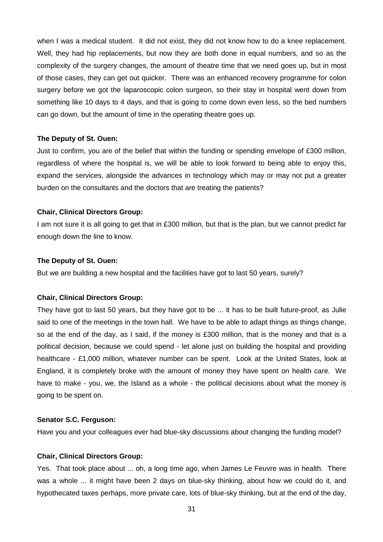when I was a medical student. It did not exist, they did not know how to do a knee replacement. Well, they had hip replacements, but now they are both done in equal numbers, and so as the complexity of the surgery changes, the amount of theatre time that we need goes up, but in most of those cases, they can get out quicker. There was an enhanced recovery programme for colon surgery before we got the laparoscopic colon surgeon, so their stay in hospital went down from something like 10 days to 4 days, and that is going to come down even less, so the bed numbers can go down, but the amount of time in the operating theatre goes up.

#### **The Deputy of St. Ouen:**

Just to confirm, you are of the belief that within the funding or spending envelope of £300 million, regardless of where the hospital is, we will be able to look forward to being able to enjoy this, expand the services, alongside the advances in technology which may or may not put a greater burden on the consultants and the doctors that are treating the patients?

#### **Chair, Clinical Directors Group:**

I am not sure it is all going to get that in £300 million, but that is the plan, but we cannot predict far enough down the line to know.

#### **The Deputy of St. Ouen:**

But we are building a new hospital and the facilities have got to last 50 years, surely?

#### **Chair, Clinical Directors Group:**

They have got to last 50 years, but they have got to be ... it has to be built future-proof, as Julie said to one of the meetings in the town hall. We have to be able to adapt things as things change, so at the end of the day, as I said, if the money is £300 million, that is the money and that is a political decision, because we could spend - let alone just on building the hospital and providing healthcare - £1,000 million, whatever number can be spent. Look at the United States, look at England, it is completely broke with the amount of money they have spent on health care. We have to make - you, we, the Island as a whole - the political decisions about what the money is going to be spent on.

#### **Senator S.C. Ferguson:**

Have you and your colleagues ever had blue-sky discussions about changing the funding model?

#### **Chair, Clinical Directors Group:**

Yes. That took place about ... oh, a long time ago, when James Le Feuvre was in health. There was a whole ... it might have been 2 days on blue-sky thinking, about how we could do it, and hypothecated taxes perhaps, more private care, lots of blue-sky thinking, but at the end of the day,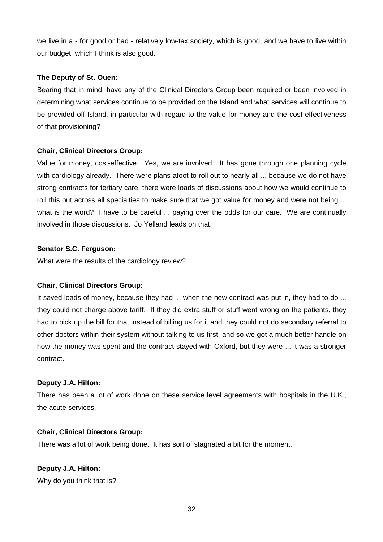we live in a - for good or bad - relatively low-tax society, which is good, and we have to live within our budget, which I think is also good.

## **The Deputy of St. Ouen:**

Bearing that in mind, have any of the Clinical Directors Group been required or been involved in determining what services continue to be provided on the Island and what services will continue to be provided off-Island, in particular with regard to the value for money and the cost effectiveness of that provisioning?

## **Chair, Clinical Directors Group:**

Value for money, cost-effective. Yes, we are involved. It has gone through one planning cycle with cardiology already. There were plans afoot to roll out to nearly all ... because we do not have strong contracts for tertiary care, there were loads of discussions about how we would continue to roll this out across all specialties to make sure that we got value for money and were not being ... what is the word? I have to be careful ... paying over the odds for our care. We are continually involved in those discussions. Jo Yelland leads on that.

## **Senator S.C. Ferguson:**

What were the results of the cardiology review?

#### **Chair, Clinical Directors Group:**

It saved loads of money, because they had ... when the new contract was put in, they had to do ... they could not charge above tariff. If they did extra stuff or stuff went wrong on the patients, they had to pick up the bill for that instead of billing us for it and they could not do secondary referral to other doctors within their system without talking to us first, and so we got a much better handle on how the money was spent and the contract stayed with Oxford, but they were ... it was a stronger contract.

#### **Deputy J.A. Hilton:**

There has been a lot of work done on these service level agreements with hospitals in the U.K., the acute services.

#### **Chair, Clinical Directors Group:**

There was a lot of work being done. It has sort of stagnated a bit for the moment.

**Deputy J.A. Hilton:** Why do you think that is?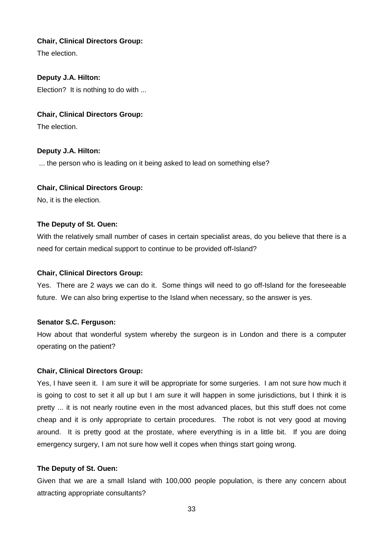The election.

## **Deputy J.A. Hilton:**

Election? It is nothing to do with ...

## **Chair, Clinical Directors Group:**

The election.

## **Deputy J.A. Hilton:**

... the person who is leading on it being asked to lead on something else?

## **Chair, Clinical Directors Group:**

No, it is the election.

#### **The Deputy of St. Ouen:**

With the relatively small number of cases in certain specialist areas, do you believe that there is a need for certain medical support to continue to be provided off-Island?

#### **Chair, Clinical Directors Group:**

Yes. There are 2 ways we can do it. Some things will need to go off-Island for the foreseeable future. We can also bring expertise to the Island when necessary, so the answer is yes.

#### **Senator S.C. Ferguson:**

How about that wonderful system whereby the surgeon is in London and there is a computer operating on the patient?

#### **Chair, Clinical Directors Group:**

Yes, I have seen it. I am sure it will be appropriate for some surgeries. I am not sure how much it is going to cost to set it all up but I am sure it will happen in some jurisdictions, but I think it is pretty ... it is not nearly routine even in the most advanced places, but this stuff does not come cheap and it is only appropriate to certain procedures. The robot is not very good at moving around. It is pretty good at the prostate, where everything is in a little bit. If you are doing emergency surgery, I am not sure how well it copes when things start going wrong.

#### **The Deputy of St. Ouen:**

Given that we are a small Island with 100,000 people population, is there any concern about attracting appropriate consultants?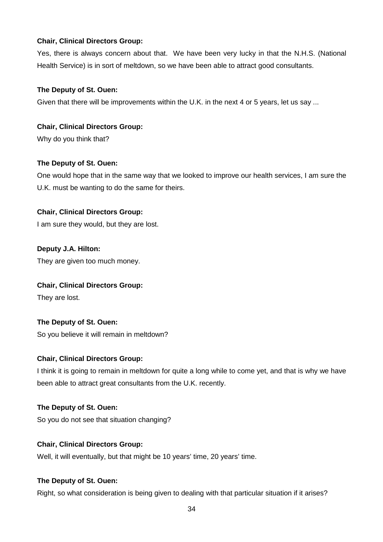Yes, there is always concern about that. We have been very lucky in that the N.H.S. (National Health Service) is in sort of meltdown, so we have been able to attract good consultants.

## **The Deputy of St. Ouen:**

Given that there will be improvements within the U.K. in the next 4 or 5 years, let us say ...

## **Chair, Clinical Directors Group:**

Why do you think that?

## **The Deputy of St. Ouen:**

One would hope that in the same way that we looked to improve our health services, I am sure the U.K. must be wanting to do the same for theirs.

## **Chair, Clinical Directors Group:**

I am sure they would, but they are lost.

## **Deputy J.A. Hilton:**

They are given too much money.

## **Chair, Clinical Directors Group:**

They are lost.

## **The Deputy of St. Ouen:**

So you believe it will remain in meltdown?

#### **Chair, Clinical Directors Group:**

I think it is going to remain in meltdown for quite a long while to come yet, and that is why we have been able to attract great consultants from the U.K. recently.

## **The Deputy of St. Ouen:**

So you do not see that situation changing?

## **Chair, Clinical Directors Group:**

Well, it will eventually, but that might be 10 years' time, 20 years' time.

## **The Deputy of St. Ouen:**

Right, so what consideration is being given to dealing with that particular situation if it arises?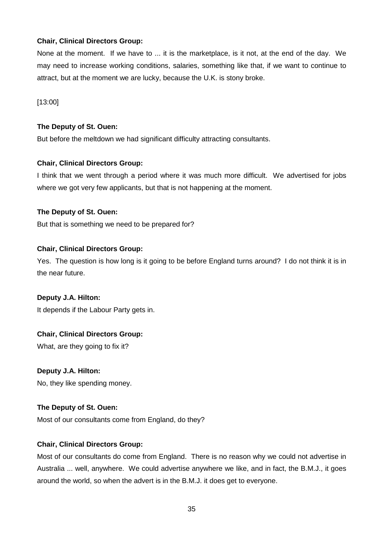None at the moment. If we have to ... it is the marketplace, is it not, at the end of the day. We may need to increase working conditions, salaries, something like that, if we want to continue to attract, but at the moment we are lucky, because the U.K. is stony broke.

[13:00]

## **The Deputy of St. Ouen:**

But before the meltdown we had significant difficulty attracting consultants.

## **Chair, Clinical Directors Group:**

I think that we went through a period where it was much more difficult. We advertised for jobs where we got very few applicants, but that is not happening at the moment.

## **The Deputy of St. Ouen:**

But that is something we need to be prepared for?

## **Chair, Clinical Directors Group:**

Yes. The question is how long is it going to be before England turns around? I do not think it is in the near future.

## **Deputy J.A. Hilton:**

It depends if the Labour Party gets in.

## **Chair, Clinical Directors Group:**

What, are they going to fix it?

## **Deputy J.A. Hilton:**

No, they like spending money.

## **The Deputy of St. Ouen:**

Most of our consultants come from England, do they?

## **Chair, Clinical Directors Group:**

Most of our consultants do come from England. There is no reason why we could not advertise in Australia ... well, anywhere. We could advertise anywhere we like, and in fact, the B.M.J., it goes around the world, so when the advert is in the B.M.J. it does get to everyone.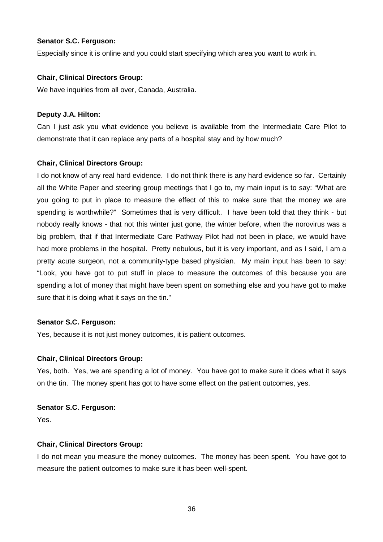#### **Senator S.C. Ferguson:**

Especially since it is online and you could start specifying which area you want to work in.

## **Chair, Clinical Directors Group:**

We have inquiries from all over, Canada, Australia.

## **Deputy J.A. Hilton:**

Can I just ask you what evidence you believe is available from the Intermediate Care Pilot to demonstrate that it can replace any parts of a hospital stay and by how much?

## **Chair, Clinical Directors Group:**

I do not know of any real hard evidence. I do not think there is any hard evidence so far. Certainly all the White Paper and steering group meetings that I go to, my main input is to say: "What are you going to put in place to measure the effect of this to make sure that the money we are spending is worthwhile?" Sometimes that is very difficult. I have been told that they think - but nobody really knows - that not this winter just gone, the winter before, when the norovirus was a big problem, that if that Intermediate Care Pathway Pilot had not been in place, we would have had more problems in the hospital. Pretty nebulous, but it is very important, and as I said, I am a pretty acute surgeon, not a community-type based physician. My main input has been to say: "Look, you have got to put stuff in place to measure the outcomes of this because you are spending a lot of money that might have been spent on something else and you have got to make sure that it is doing what it says on the tin."

#### **Senator S.C. Ferguson:**

Yes, because it is not just money outcomes, it is patient outcomes.

#### **Chair, Clinical Directors Group:**

Yes, both. Yes, we are spending a lot of money. You have got to make sure it does what it says on the tin. The money spent has got to have some effect on the patient outcomes, yes.

#### **Senator S.C. Ferguson:**

Yes.

#### **Chair, Clinical Directors Group:**

I do not mean you measure the money outcomes. The money has been spent. You have got to measure the patient outcomes to make sure it has been well-spent.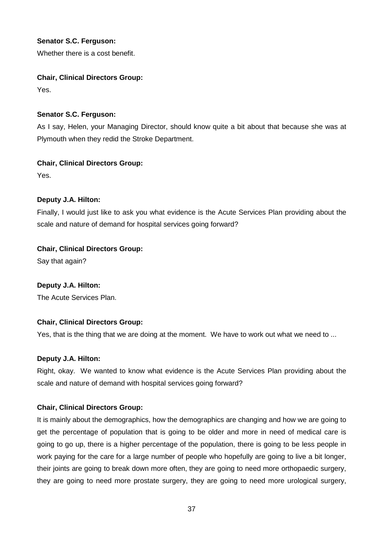## **Senator S.C. Ferguson:**

Whether there is a cost benefit.

## **Chair, Clinical Directors Group:**

Yes.

## **Senator S.C. Ferguson:**

As I say, Helen, your Managing Director, should know quite a bit about that because she was at Plymouth when they redid the Stroke Department.

## **Chair, Clinical Directors Group:**

Yes.

## **Deputy J.A. Hilton:**

Finally, I would just like to ask you what evidence is the Acute Services Plan providing about the scale and nature of demand for hospital services going forward?

## **Chair, Clinical Directors Group:**

Say that again?

## **Deputy J.A. Hilton:**

The Acute Services Plan.

## **Chair, Clinical Directors Group:**

Yes, that is the thing that we are doing at the moment. We have to work out what we need to ...

#### **Deputy J.A. Hilton:**

Right, okay. We wanted to know what evidence is the Acute Services Plan providing about the scale and nature of demand with hospital services going forward?

#### **Chair, Clinical Directors Group:**

It is mainly about the demographics, how the demographics are changing and how we are going to get the percentage of population that is going to be older and more in need of medical care is going to go up, there is a higher percentage of the population, there is going to be less people in work paying for the care for a large number of people who hopefully are going to live a bit longer, their joints are going to break down more often, they are going to need more orthopaedic surgery, they are going to need more prostate surgery, they are going to need more urological surgery,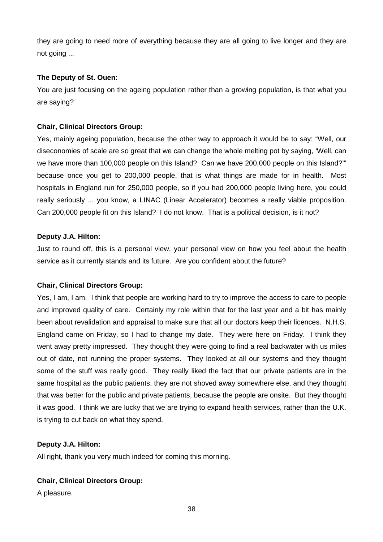they are going to need more of everything because they are all going to live longer and they are not going ...

#### **The Deputy of St. Ouen:**

You are just focusing on the ageing population rather than a growing population, is that what you are saying?

## **Chair, Clinical Directors Group:**

Yes, mainly ageing population, because the other way to approach it would be to say: "Well, our diseconomies of scale are so great that we can change the whole melting pot by saying, 'Well, can we have more than 100,000 people on this Island? Can we have 200,000 people on this Island?" because once you get to 200,000 people, that is what things are made for in health. Most hospitals in England run for 250,000 people, so if you had 200,000 people living here, you could really seriously ... you know, a LINAC (Linear Accelerator) becomes a really viable proposition. Can 200,000 people fit on this Island? I do not know. That is a political decision, is it not?

## **Deputy J.A. Hilton:**

Just to round off, this is a personal view, your personal view on how you feel about the health service as it currently stands and its future. Are you confident about the future?

## **Chair, Clinical Directors Group:**

Yes, I am, I am. I think that people are working hard to try to improve the access to care to people and improved quality of care. Certainly my role within that for the last year and a bit has mainly been about revalidation and appraisal to make sure that all our doctors keep their licences. N.H.S. England came on Friday, so I had to change my date. They were here on Friday. I think they went away pretty impressed. They thought they were going to find a real backwater with us miles out of date, not running the proper systems. They looked at all our systems and they thought some of the stuff was really good. They really liked the fact that our private patients are in the same hospital as the public patients, they are not shoved away somewhere else, and they thought that was better for the public and private patients, because the people are onsite. But they thought it was good. I think we are lucky that we are trying to expand health services, rather than the U.K. is trying to cut back on what they spend.

#### **Deputy J.A. Hilton:**

All right, thank you very much indeed for coming this morning.

## **Chair, Clinical Directors Group:**

A pleasure.